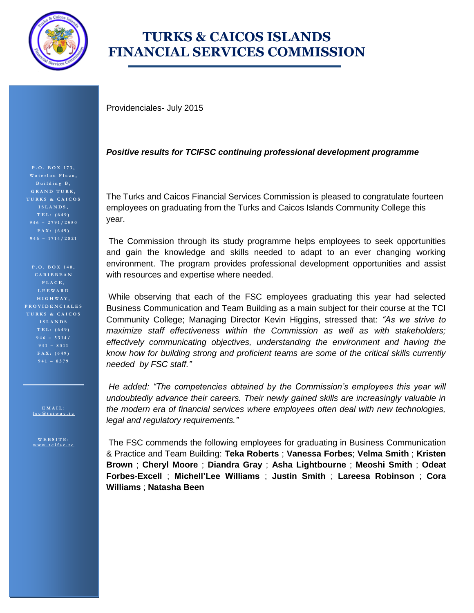

## **TURKS & CAICOS ISLANDS FINANCIAL SERVICES COMMISSION**

Providenciales- July 2015

## *Positive results for TCIFSC continuing professional development programme*

The Turks and Caicos Financial Services Commission is pleased to congratulate fourteen employees on graduating from the Turks and Caicos Islands Community College this year.

The Commission through its study programme helps employees to seek opportunities and gain the knowledge and skills needed to adapt to an ever changing working environment. The program provides professional development opportunities and assist with resources and expertise where needed.

While observing that each of the FSC employees graduating this year had selected Business Communication and Team Building as a main subject for their course at the TCI Community College; Managing Director Kevin Higgins, stressed that: *"As we strive to maximize staff effectiveness within the Commission as well as with stakeholders; effectively communicating objectives, understanding the environment and having the know how for building strong and proficient teams are some of the critical skills currently needed by FSC staff."*

*He added: "The competencies obtained by the Commission's employees this year will undoubtedly advance their careers. Their newly gained skills are increasingly valuable in the modern era of financial services where employees often deal with new technologies, legal and regulatory requirements."*

The FSC commends the following employees for graduating in Business Communication & Practice and Team Building: **Teka Roberts** ; **Vanessa Forbes**; **Velma Smith** ; **Kristen Brown** ; **Cheryl Moore** ; **Diandra Gray** ; **Asha Lightbourne** ; **Meoshi Smith** ; **Odeat Forbes-Excell** ; **Michell'Lee Williams** ; **Justin Smith** ; **Lareesa Robinson** ; **Cora Williams** ; **Natasha Been**

**P . O . B O X 1 7 3 , B u i l d i n g B , G R A N D T U R K , T U R K S & C A I C O S I S L A N D S , T E L : ( 6 4 9 ) 946 – 2 7 9 1 / 2 5 5 0 F A X : ( 6 4 9 ) 946 – 1 7 1 4 / 2 8 2 1**

**P . O . B O X 1 4 0 , C A R I B B E A N P L A C E , L E E W A R D H I G H W A Y , P R O V I D E N C I A L E S T U R K S & C A I C O S I S L A N D S T E L : ( 6 4 9 ) F A X : ( 6 4 9 )** 

> **E M A I L : [f s c @ t c i w a y . t c](mailto:fsc@tciway.tc)**

**W E B S I T E : [w w w . t c i f s c . t c](http://www.tcifsc.tc/)**